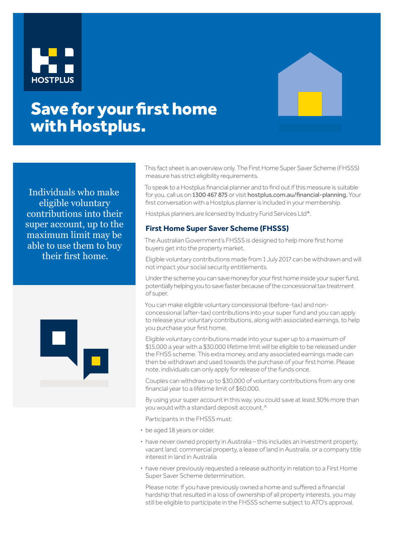



# Save for your first home with Hostplus.

Individuals who make eligible voluntary contributions into their super account, up to the maximum limit may be able to use them to buy their first home.



This fact sheet is an overview only. The First Home Super Saver Scheme (FHSSS) measure has strict eligibility requirements.

To speak to a Hostplus financial planner and to find out if this measure is suitable for you, call us on 1300 467 875 or visit hostplus.com.au/financial-planning. Your first conversation with a Hostplus planner is included in your membership.

Hostplus planners are licensed by Industry Fund Services Ltd\*.

# **First Home Super Saver Scheme (FHSSS)**

The Australian Government's FHSSS is designed to help more first home buyers get into the property market.

Eligible voluntary contributions made from 1 July 2017 can be withdrawn and will not impact your social security entitlements.

Under the scheme you can save money for your first home inside your super fund, potentially helping you to save faster because of the concessional tax treatment of super.

You can make eligible voluntary concessional (before-tax) and nonconcessional (after-tax) contributions into your super fund and you can apply to release your voluntary contributions, along with associated earnings, to help you purchase your first home.

Eligible voluntary contributions made into your super up to a maximum of \$15,000 a year with a \$30,000 lifetime limit will be eligible to be released under the FHSS scheme. This extra money, and any associated earnings made can then be withdrawn and used towards the purchase of your first home. Please note, individuals can only apply for release of the funds once.

Couples can withdraw up to \$30,000 of voluntary contributions from any one financial year to a lifetime limit of \$60,000.

By using your super account in this way, you could save at least 30% more than you would with a standard deposit account.^

Participants in the FHSSS must:

- **·** be aged 18 years or older,
- **·** have never owned property in Australia this includes an investment property, vacant land, commercial property, a lease of land in Australia, or a company title interest in land in Australia
- **·** have never previously requested a release authority in relation to a First Home Super Saver Scheme determination.

Please note: If you have previously owned a home and suffered a financial hardship that resulted in a loss of ownership of all property interests, you may still be eligible to participate in the FHSSS scheme subject to ATO's approval.